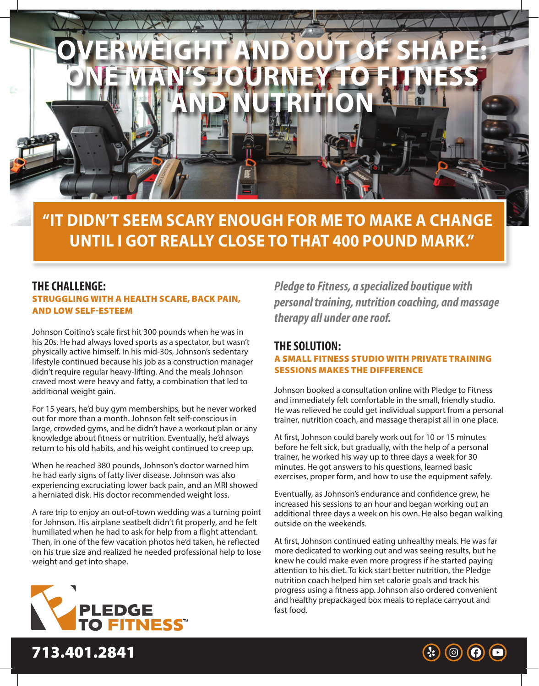

**"IT DIDN'T SEEM SCARY ENOUGH FOR ME TO MAKE A CHANGE UNTIL I GOT REALLY CLOSE TO THAT 400 POUND MARK."**

## **THE CHALLENGE:** STRUGGLING WITH A HEALTH SCARE, BACK PAIN, AND LOW SELF-ESTEEM

Johnson Coitino's scale first hit 300 pounds when he was in his 20s. He had always loved sports as a spectator, but wasn't physically active himself. In his mid-30s, Johnson's sedentary lifestyle continued because his job as a construction manager didn't require regular heavy-lifting. And the meals Johnson craved most were heavy and fatty, a combination that led to additional weight gain.

For 15 years, he'd buy gym memberships, but he never worked out for more than a month. Johnson felt self-conscious in large, crowded gyms, and he didn't have a workout plan or any knowledge about fitness or nutrition. Eventually, he'd always return to his old habits, and his weight continued to creep up.

When he reached 380 pounds, Johnson's doctor warned him he had early signs of fatty liver disease. Johnson was also experiencing excruciating lower back pain, and an MRI showed a herniated disk. His doctor recommended weight loss.

A rare trip to enjoy an out-of-town wedding was a turning point for Johnson. His airplane seatbelt didn't fit properly, and he felt humiliated when he had to ask for help from a flight attendant. Then, in one of the few vacation photos he'd taken, he reflected on his true size and realized he needed professional help to lose weight and get into shape.



713.401.2841

*Pledge to Fitness, a specialized boutique with personal training, nutrition coaching, and massage therapy all under one roof.*

## **THE SOLUTION:** A SMALL FITNESS STUDIO WITH PRIVATE TRAINING SESSIONS MAKES THE DIFFERENCE

Johnson booked a consultation online with Pledge to Fitness and immediately felt comfortable in the small, friendly studio. He was relieved he could get individual support from a personal trainer, nutrition coach, and massage therapist all in one place.

At first, Johnson could barely work out for 10 or 15 minutes before he felt sick, but gradually, with the help of a personal trainer, he worked his way up to three days a week for 30 minutes. He got answers to his questions, learned basic exercises, proper form, and how to use the equipment safely.

Eventually, as Johnson's endurance and confidence grew, he increased his sessions to an hour and began working out an additional three days a week on his own. He also began walking outside on the weekends.

At first, Johnson continued eating unhealthy meals. He was far more dedicated to working out and was seeing results, but he knew he could make even more progress if he started paying attention to his diet. To kick start better nutrition, the Pledge nutrition coach helped him set calorie goals and track his progress using a fitness app. Johnson also ordered convenient and healthy prepackaged box meals to replace carryout and fast food.